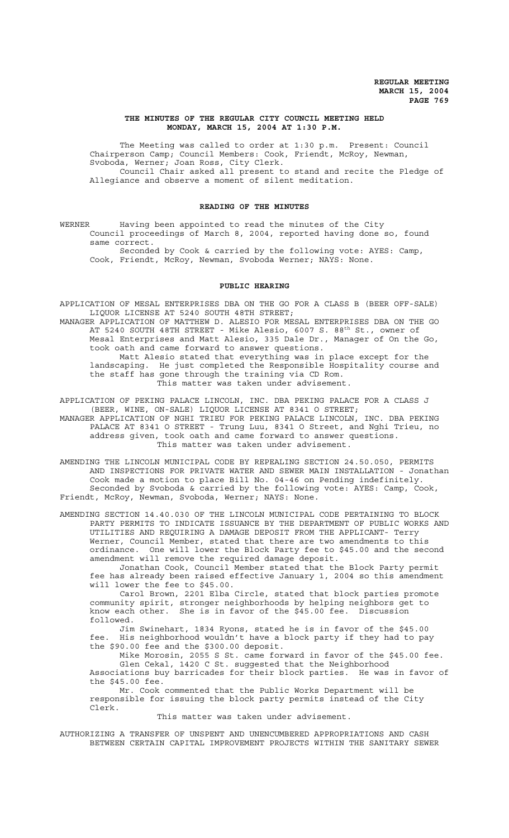## **THE MINUTES OF THE REGULAR CITY COUNCIL MEETING HELD MONDAY, MARCH 15, 2004 AT 1:30 P.M.**

The Meeting was called to order at 1:30 p.m. Present: Council Chairperson Camp; Council Members: Cook, Friendt, McRoy, Newman, Svoboda, Werner; Joan Ross, City Clerk. Council Chair asked all present to stand and recite the Pledge of

Allegiance and observe a moment of silent meditation.

## **READING OF THE MINUTES**

WERNER Having been appointed to read the minutes of the City Council proceedings of March 8, 2004, reported having done so, found same correct.

Seconded by Cook & carried by the following vote: AYES: Camp, Cook, Friendt, McRoy, Newman, Svoboda Werner; NAYS: None.

# **PUBLIC HEARING**

APPLICATION OF MESAL ENTERPRISES DBA ON THE GO FOR A CLASS B (BEER OFF-SALE) LIQUOR LICENSE AT 5240 SOUTH 48TH STREET;

MANAGER APPLICATION OF MATTHEW D. ALESIO FOR MESAL ENTERPRISES DBA ON THE GO AT 5240 SOUTH 48TH STREET - Mike Alesio, 6007 S. 88<sup>th</sup> St., owner of Mesal Enterprises and Matt Alesio, 335 Dale Dr., Manager of On the Go, took oath and came forward to answer questions. Matt Alesio stated that everything was in place except for the landscaping. He just completed the Responsible Hospitality course and the staff has gone through the training via CD Rom.

This matter was taken under advisement.

APPLICATION OF PEKING PALACE LINCOLN, INC. DBA PEKING PALACE FOR A CLASS J (BEER, WINE, ON-SALE) LIQUOR LICENSE AT 8341 O STREET; MANAGER APPLICATION OF NGHI TRIEU FOR PEKING PALACE LINCOLN, INC. DBA PEKING

PALACE AT 8341 O STREET - Trung Luu, 8341 O Street, and Nghi Trieu, no address given, took oath and came forward to answer questions. This matter was taken under advisement.

AMENDING THE LINCOLN MUNICIPAL CODE BY REPEALING SECTION 24.50.050, PERMITS AND INSPECTIONS FOR PRIVATE WATER AND SEWER MAIN INSTALLATION - Jonathan Cook made a motion to place Bill No. 04-46 on Pending indefinitely. Seconded by Svoboda & carried by the following vote: AYES: Camp, Cook, Friendt, McRoy, Newman, Svoboda, Werner; NAYS: None.

AMENDING SECTION 14.40.030 OF THE LINCOLN MUNICIPAL CODE PERTAINING TO BLOCK PARTY PERMITS TO INDICATE ISSUANCE BY THE DEPARTMENT OF PUBLIC WORKS AND UTILITIES AND REQUIRING A DAMAGE DEPOSIT FROM THE APPLICANT- Terry Werner, Council Member, stated that there are two amendments to this ordinance. One will lower the Block Party fee to \$45.00 and the second amendment will remove the required damage deposit.

Jonathan Cook, Council Member stated that the Block Party permit fee has already been raised effective January 1, 2004 so this amendment will lower the fee to \$45.00.

Carol Brown, 2201 Elba Circle, stated that block parties promote community spirit, stronger neighborhoods by helping neighbors get to know each other. She is in favor of the \$45.00 fee. Discussion followed.

Jim Swinehart, 1834 Ryons, stated he is in favor of the \$45.00 fee. His neighborhood wouldn't have a block party if they had to pay the \$90.00 fee and the \$300.00 deposit.

Mike Morosin, 2055 S St. came forward in favor of the \$45.00 fee. Glen Cekal, 1420 C St. suggested that the Neighborhood Associations buy barricades for their block parties. He was in favor of the \$45.00 fee.

Mr. Cook commented that the Public Works Department will be responsible for issuing the block party permits instead of the City Clerk.

#### This matter was taken under advisement.

AUTHORIZING A TRANSFER OF UNSPENT AND UNENCUMBERED APPROPRIATIONS AND CASH BETWEEN CERTAIN CAPITAL IMPROVEMENT PROJECTS WITHIN THE SANITARY SEWER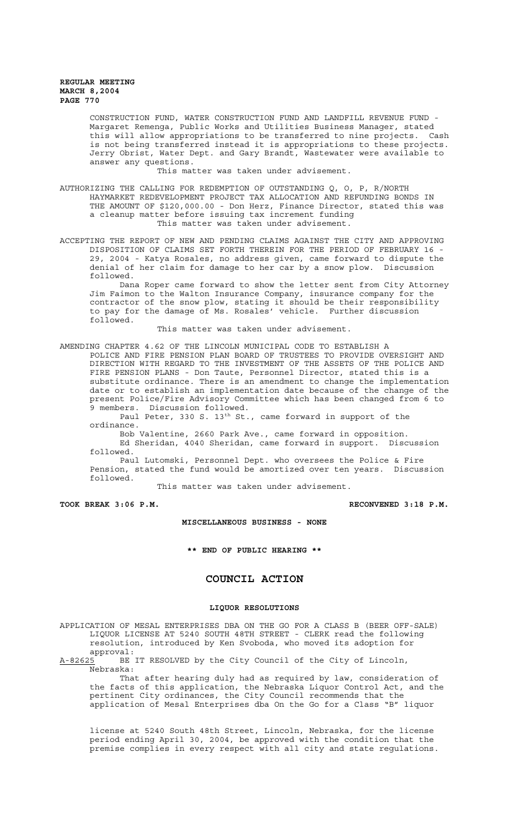CONSTRUCTION FUND, WATER CONSTRUCTION FUND AND LANDFILL REVENUE FUND - Margaret Remenga, Public Works and Utilities Business Manager, stated this will allow appropriations to be transferred to nine projects. Cash is not being transferred instead it is appropriations to these projects. Jerry Obrist, Water Dept. and Gary Brandt, Wastewater were available to answer any questions.

This matter was taken under advisement.

AUTHORIZING THE CALLING FOR REDEMPTION OF OUTSTANDING Q, O, P, R/NORTH HAYMARKET REDEVELOPMENT PROJECT TAX ALLOCATION AND REFUNDING BONDS IN THE AMOUNT OF \$120,000.00 - Don Herz, Finance Director, stated this was a cleanup matter before issuing tax increment funding This matter was taken under advisement.

ACCEPTING THE REPORT OF NEW AND PENDING CLAIMS AGAINST THE CITY AND APPROVING DISPOSITION OF CLAIMS SET FORTH THEREIN FOR THE PERIOD OF FEBRUARY 16 - 29, 2004 - Katya Rosales, no address given, came forward to dispute the denial of her claim for damage to her car by a snow plow. Discussion followed.

Dana Roper came forward to show the letter sent from City Attorney Jim Faimon to the Walton Insurance Company, insurance company for the contractor of the snow plow, stating it should be their responsibility to pay for the damage of Ms. Rosales' vehicle. Further discussion followed.

This matter was taken under advisement.

AMENDING CHAPTER 4.62 OF THE LINCOLN MUNICIPAL CODE TO ESTABLISH A

POLICE AND FIRE PENSION PLAN BOARD OF TRUSTEES TO PROVIDE OVERSIGHT AND DIRECTION WITH REGARD TO THE INVESTMENT OF THE ASSETS OF THE POLICE AND FIRE PENSION PLANS - Don Taute, Personnel Director, stated this is a substitute ordinance. There is an amendment to change the implementation date or to establish an implementation date because of the change of the present Police/Fire Advisory Committee which has been changed from 6 to 9 members. Discussion followed.

Paul Peter, 330 S. 13<sup>th</sup> St., came forward in support of the ordinance.

Bob Valentine, 2660 Park Ave., came forward in opposition. Ed Sheridan, 4040 Sheridan, came forward in support. Discussion followed.

Paul Lutomski, Personnel Dept. who oversees the Police & Fire Pension, stated the fund would be amortized over ten years. Discussion followed.

This matter was taken under advisement.

**TOOK BREAK 3:06 P.M. RECONVENED 3:18 P.M.**

## **MISCELLANEOUS BUSINESS - NONE**

**\*\* END OF PUBLIC HEARING \*\***

# **COUNCIL ACTION**

#### **LIQUOR RESOLUTIONS**

APPLICATION OF MESAL ENTERPRISES DBA ON THE GO FOR A CLASS B (BEER OFF-SALE) LIQUOR LICENSE AT 5240 SOUTH 48TH STREET - CLERK read the following resolution, introduced by Ken Svoboda, who moved its adoption for approval:

A-82625 BE IT RESOLVED by the City Council of the City of Lincoln, Nebraska:

That after hearing duly had as required by law, consideration of the facts of this application, the Nebraska Liquor Control Act, and the pertinent City ordinances, the City Council recommends that the application of Mesal Enterprises dba On the Go for a Class "B" liquor

license at 5240 South 48th Street, Lincoln, Nebraska, for the license period ending April 30, 2004, be approved with the condition that the premise complies in every respect with all city and state regulations.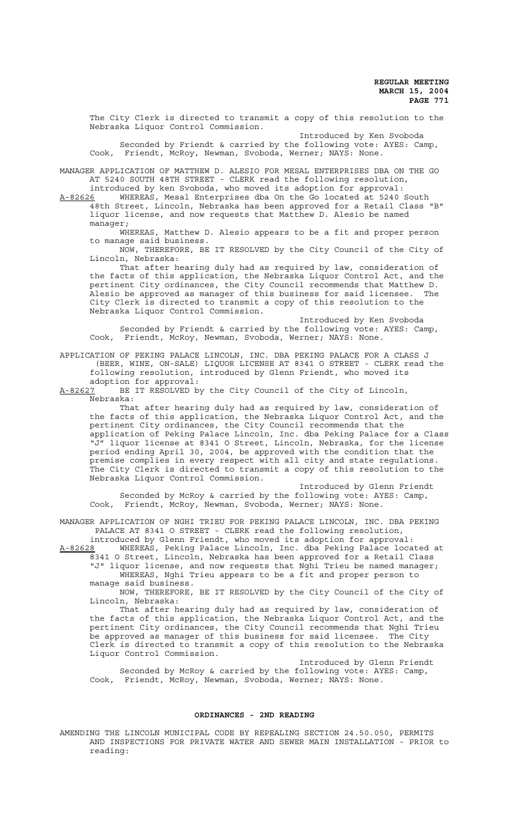The City Clerk is directed to transmit a copy of this resolution to the Nebraska Liquor Control Commission.

Introduced by Ken Svoboda Seconded by Friendt & carried by the following vote: AYES: Camp, Cook, Friendt, McRoy, Newman, Svoboda, Werner; NAYS: None.

MANAGER APPLICATION OF MATTHEW D. ALESIO FOR MESAL ENTERPRISES DBA ON THE GO AT 5240 SOUTH 48TH STREET - CLERK read the following resolution,

introduced by ken Svoboda, who moved its adoption for approval: A-82626 WHEREAS, Mesal Enterprises dba On the Go located at 5240 South 48th Street, Lincoln, Nebraska has been approved for a Retail Class "B" liquor license, and now requests that Matthew D. Alesio be named manager;

WHEREAS, Matthew D. Alesio appears to be a fit and proper person to manage said business.

NOW, THEREFORE, BE IT RESOLVED by the City Council of the City of Lincoln, Nebraska:

That after hearing duly had as required by law, consideration of the facts of this application, the Nebraska Liquor Control Act, and the pertinent City ordinances, the City Council recommends that Matthew D. Alesio be approved as manager of this business for said licensee. The City Clerk is directed to transmit a copy of this resolution to the Nebraska Liquor Control Commission.

Introduced by Ken Svoboda Seconded by Friendt & carried by the following vote: AYES: Camp, Cook, Friendt, McRoy, Newman, Svoboda, Werner; NAYS: None.

APPLICATION OF PEKING PALACE LINCOLN, INC. DBA PEKING PALACE FOR A CLASS J (BEER, WINE, ON-SALE) LIQUOR LICENSE AT 8341 O STREET - CLERK read the following resolution, introduced by Glenn Friendt, who moved its adoption for approval:

A-82627 BE IT RESOLVED by the City Council of the City of Lincoln, Nebraska:

That after hearing duly had as required by law, consideration of the facts of this application, the Nebraska Liquor Control Act, and the pertinent City ordinances, the City Council recommends that the application of Peking Palace Lincoln, Inc. dba Peking Palace for a Class "J" liquor license at 8341 O Street, Lincoln, Nebraska, for the license period ending April 30, 2004, be approved with the condition that the premise complies in every respect with all city and state regulations. The City Clerk is directed to transmit a copy of this resolution to the Nebraska Liquor Control Commission.

Introduced by Glenn Friendt Seconded by McRoy & carried by the following vote: AYES: Camp, Cook, Friendt, McRoy, Newman, Svoboda, Werner; NAYS: None.

MANAGER APPLICATION OF NGHI TRIEU FOR PEKING PALACE LINCOLN, INC. DBA PEKING PALACE AT 8341 O STREET - CLERK read the following resolution, introduced by Glenn Friendt, who moved its adoption for approval:

A-82628 MHEREAS, Peking Palace Lincoln, Inc. dba Peking Palace located at 8341 O Street, Lincoln, Nebraska has been approved for a Retail Class "J" liquor license, and now requests that Nghi Trieu be named manager; WHEREAS, Nghi Trieu appears to be a fit and proper person to

manage said business. NOW, THEREFORE, BE IT RESOLVED by the City Council of the City of

Lincoln, Nebraska:

That after hearing duly had as required by law, consideration of the facts of this application, the Nebraska Liquor Control Act, and the pertinent City ordinances, the City Council recommends that Nghi Trieu be approved as manager of this business for said licensee. The City Clerk is directed to transmit a copy of this resolution to the Nebraska Liquor Control Commission.

Introduced by Glenn Friendt Seconded by McRoy & carried by the following vote: AYES: Camp, Cook, Friendt, McRoy, Newman, Svoboda, Werner; NAYS: None.

## **ORDINANCES - 2ND READING**

AMENDING THE LINCOLN MUNICIPAL CODE BY REPEALING SECTION 24.50.050, PERMITS AND INSPECTIONS FOR PRIVATE WATER AND SEWER MAIN INSTALLATION - PRIOR to reading: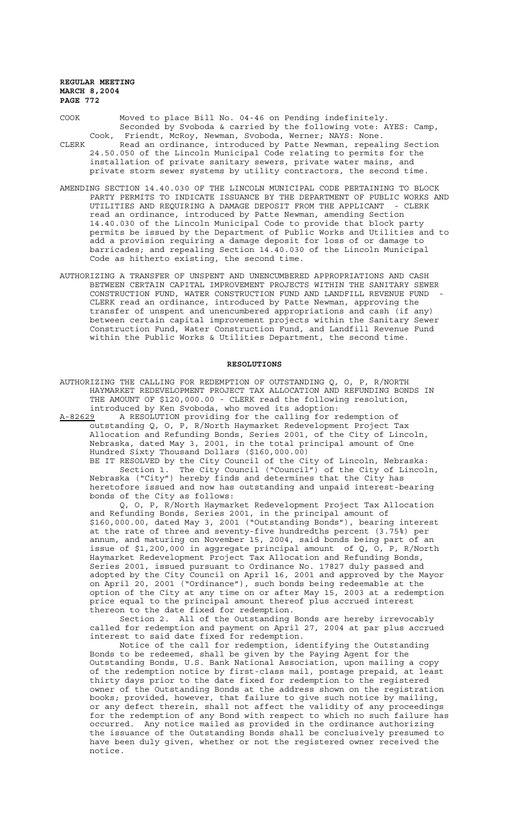COOK Moved to place Bill No. 04-46 on Pending indefinitely. Seconded by Svoboda & carried by the following vote: AYES: Camp, Cook, Friendt, McRoy, Newman, Svoboda, Werner; NAYS: None. CLERK Read an ordinance, introduced by Patte Newman, repealing Section 24.50.050 of the Lincoln Municipal Code relating to permits for the installation of private sanitary sewers, private water mains, and

private storm sewer systems by utility contractors, the second time. AMENDING SECTION 14.40.030 OF THE LINCOLN MUNICIPAL CODE PERTAINING TO BLOCK PARTY PERMITS TO INDICATE ISSUANCE BY THE DEPARTMENT OF PUBLIC WORKS AND

UTILITIES AND REQUIRING A DAMAGE DEPOSIT FROM THE APPLICANT - CLERK read an ordinance, introduced by Patte Newman, amending Section 14.40.030 of the Lincoln Municipal Code to provide that block party permits be issued by the Department of Public Works and Utilities and to add a provision requiring a damage deposit for loss of or damage to barricades; and repealing Section 14.40.030 of the Lincoln Municipal Code as hitherto existing, the second time.

AUTHORIZING A TRANSFER OF UNSPENT AND UNENCUMBERED APPROPRIATIONS AND CASH BETWEEN CERTAIN CAPITAL IMPROVEMENT PROJECTS WITHIN THE SANITARY SEWER CONSTRUCTION FUND, WATER CONSTRUCTION FUND AND LANDFILL REVENUE FUND - CLERK read an ordinance, introduced by Patte Newman, approving the transfer of unspent and unencumbered appropriations and cash (if any) between certain capital improvement projects within the Sanitary Sewer Construction Fund, Water Construction Fund, and Landfill Revenue Fund within the Public Works & Utilities Department, the second time.

#### **RESOLUTIONS**

AUTHORIZING THE CALLING FOR REDEMPTION OF OUTSTANDING Q, O, P, R/NORTH HAYMARKET REDEVELOPMENT PROJECT TAX ALLOCATION AND REFUNDING BONDS IN THE AMOUNT OF \$120,000.00 - CLERK read the following resolution, introduced by Ken Svoboda, who moved its adoption:

A-82629 A RESOLUTION providing for the calling for redemption of outstanding Q, O, P, R/North Haymarket Redevelopment Project Tax Allocation and Refunding Bonds, Series 2001, of the City of Lincoln, Nebraska, dated May 3, 2001, in the total principal amount of One Hundred Sixty Thousand Dollars (\$160,000.00)

BE IT RESOLVED by the City Council of the City of Lincoln, Nebraska: Section 1. The City Council ("Council") of the City of Lincoln, Nebraska ("City") hereby finds and determines that the City has heretofore issued and now has outstanding and unpaid interest-bearing bonds of the City as follows:

Q, O, P, R/North Haymarket Redevelopment Project Tax Allocation and Refunding Bonds, Series 2001, in the principal amount of \$160,000.00, dated May 3, 2001 ("Outstanding Bonds"), bearing interest at the rate of three and seventy-five hundredths percent (3.75%) per annum, and maturing on November 15, 2004, said bonds being part of an issue of \$1,200,000 in aggregate principal amount of Q, O, P, R/North Haymarket Redevelopment Project Tax Allocation and Refunding Bonds, Series 2001, issued pursuant to Ordinance No. 17827 duly passed and adopted by the City Council on April 16, 2001 and approved by the Mayor on April 20, 2001 ("Ordinance"), such bonds being redeemable at the option of the City at any time on or after May 15, 2003 at a redemption price equal to the principal amount thereof plus accrued interest thereon to the date fixed for redemption.

Section 2. All of the Outstanding Bonds are hereby irrevocably called for redemption and payment on April 27, 2004 at par plus accrued interest to said date fixed for redemption.

Notice of the call for redemption, identifying the Outstanding Bonds to be redeemed, shall be given by the Paying Agent for the Outstanding Bonds, U.S. Bank National Association, upon mailing a copy of the redemption notice by first-class mail, postage prepaid, at least thirty days prior to the date fixed for redemption to the registered owner of the Outstanding Bonds at the address shown on the registration books; provided, however, that failure to give such notice by mailing, or any defect therein, shall not affect the validity of any proceedings for the redemption of any Bond with respect to which no such failure has occurred. Any notice mailed as provided in the ordinance authorizing the issuance of the Outstanding Bonds shall be conclusively presumed to have been duly given, whether or not the registered owner received the notice.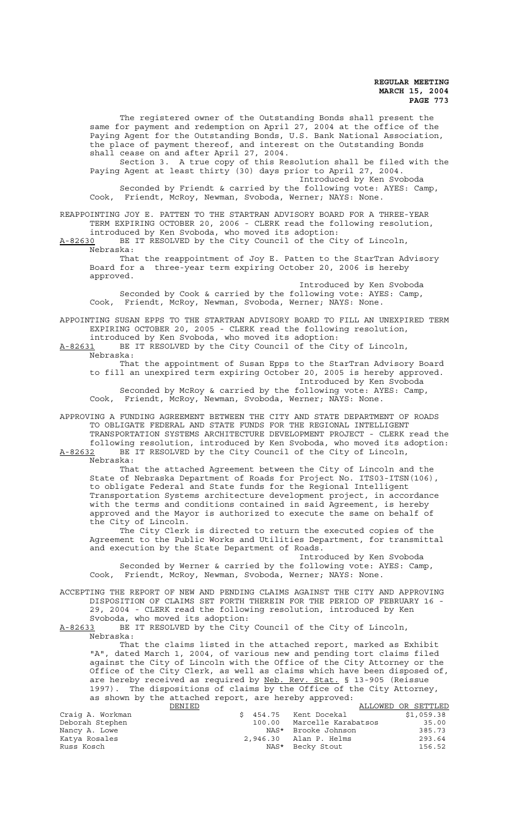The registered owner of the Outstanding Bonds shall present the same for payment and redemption on April 27, 2004 at the office of the Paying Agent for the Outstanding Bonds, U.S. Bank National Association, the place of payment thereof, and interest on the Outstanding Bonds shall cease on and after April 27, 2004. Section 3. A true copy of this Resolution shall be filed with the Paying Agent at least thirty (30) days prior to April 27, 2004. Introduced by Ken Svoboda Seconded by Friendt & carried by the following vote: AYES: Camp, Cook, Friendt, McRoy, Newman, Svoboda, Werner; NAYS: None. REAPPOINTING JOY E. PATTEN TO THE STARTRAN ADVISORY BOARD FOR A THREE-YEAR TERM EXPIRING OCTOBER 20, 2006 - CLERK read the following resolution, introduced by Ken Svoboda, who moved its adoption: A-82630 BE IT RESOLVED by the City Council of the City of Lincoln, Nebraska: That the reappointment of Joy E. Patten to the StarTran Advisory Board for a three-year term expiring October 20, 2006 is hereby approved. Introduced by Ken Svoboda Seconded by Cook & carried by the following vote: AYES: Camp, Cook, Friendt, McRoy, Newman, Svoboda, Werner; NAYS: None. APPOINTING SUSAN EPPS TO THE STARTRAN ADVISORY BOARD TO FILL AN UNEXPIRED TERM EXPIRING OCTOBER 20, 2005 - CLERK read the following resolution, introduced by Ken Svoboda, who moved its adoption: A-82631 BE IT RESOLVED by the City Council of the City of Lincoln, Nebraska: That the appointment of Susan Epps to the StarTran Advisory Board to fill an unexpired term expiring October 20, 2005 is hereby approved. Introduced by Ken Svoboda Seconded by McRoy & carried by the following vote: AYES: Camp, Cook, Friendt, McRoy, Newman, Svoboda, Werner; NAYS: None. APPROVING A FUNDING AGREEMENT BETWEEN THE CITY AND STATE DEPARTMENT OF ROADS TO OBLIGATE FEDERAL AND STATE FUNDS FOR THE REGIONAL INTELLIGENT TRANSPORTATION SYSTEMS ARCHITECTURE DEVELOPMENT PROJECT - CLERK read the following resolution, introduced by Ken Svoboda, who moved its adoption: A-82632 BE IT RESOLVED by the City Council of the City of Lincoln, Nebraska: That the attached Agreement between the City of Lincoln and the State of Nebraska Department of Roads for Project No. ITS03-ITSN(106), to obligate Federal and State funds for the Regional Intelligent Transportation Systems architecture development project, in accordance with the terms and conditions contained in said Agreement, is hereby approved and the Mayor is authorized to execute the same on behalf of the City of Lincoln. The City Clerk is directed to return the executed copies of the Agreement to the Public Works and Utilities Department, for transmittal and execution by the State Department of Roads. Introduced by Ken Svoboda Seconded by Werner & carried by the following vote: AYES: Camp, Cook, Friendt, McRoy, Newman, Svoboda, Werner; NAYS: None. ACCEPTING THE REPORT OF NEW AND PENDING CLAIMS AGAINST THE CITY AND APPROVING DISPOSITION OF CLAIMS SET FORTH THEREIN FOR THE PERIOD OF FEBRUARY 16 - 29, 2004 - CLERK read the following resolution, introduced by Ken Svoboda, who moved its adoption: A-82633 BE IT RESOLVED by the City Council of the City of Lincoln, Nebraska: That the claims listed in the attached report, marked as Exhibit "A", dated March 1, 2004, of various new and pending tort claims filed against the City of Lincoln with the Office of the City Attorney or the Office of the City Clerk, as well as claims which have been disposed of, are hereby received as required by Neb. Rev. Stat. § 13-905 (Reissue 1997). The dispositions of claims by the Office of the City Attorney, as shown by the attached report, are hereby approved: DENIED (\$ 454.75 Kent Docekal ALLOWED OR SETTLED Craig A. Workman \$ 454.75 Kent Docekal \$1,059.38 Deborah Stephen 100.00 Marcelle Karabatsos 35.00 Nancy A. Lowe NAS\* Brooke Johnson 385.73 Katya Rosales 2,946.30 Alan P. Helms 293.64 Russ Kosch 156.52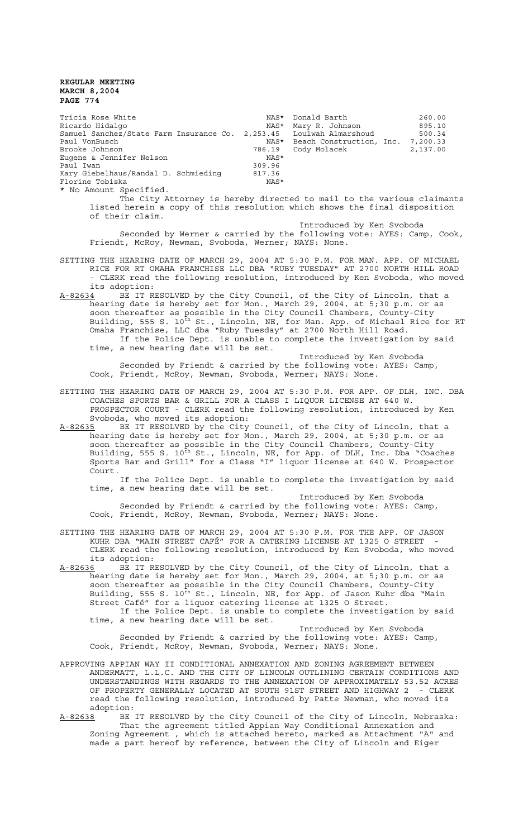| Tricia Rose White                                | NAS*   | Donald Barth             | 260.00   |
|--------------------------------------------------|--------|--------------------------|----------|
| Ricardo Hidalgo                                  | NAS*   | Mary R. Johnson          | 895.10   |
| Samuel Sanchez/State Farm Insurance Co. 2,253.45 |        | Loulwah Almarshoud       | 500.34   |
| Paul VonBusch                                    | NAS*   | Beach Construction, Inc. | 7,200.33 |
| Brooke Johnson                                   | 786.19 | Cody Molacek             | 2,137.00 |
| Eugene & Jennifer Nelson                         | NAS*   |                          |          |
| Paul Iwan                                        | 309.96 |                          |          |
| Kary Giebelhaus/Randal D. Schmieding             | 817.36 |                          |          |
| Florine Tobiska                                  | NAS*   |                          |          |
| * No Amount Specified.                           |        |                          |          |

The City Attorney is hereby directed to mail to the various claimants listed herein a copy of this resolution which shows the final disposition of their claim.

Introduced by Ken Svoboda Seconded by Werner & carried by the following vote: AYES: Camp, Cook, Friendt, McRoy, Newman, Svoboda, Werner; NAYS: None.

SETTING THE HEARING DATE OF MARCH 29, 2004 AT 5:30 P.M. FOR MAN. APP. OF MICHAEL RICE FOR RT OMAHA FRANCHISE LLC DBA "RUBY TUESDAY" AT 2700 NORTH HILL ROAD - CLERK read the following resolution, introduced by Ken Svoboda, who moved its adoption:

A-82634 BE IT RESOLVED by the City Council, of the City of Lincoln, that a hearing date is hereby set for Mon., March 29, 2004, at 5;30 p.m. or as soon thereafter as possible in the City Council Chambers, County-City Building, 555 S.  $10^{\rm th}$  St., Lincoln, NE, for Man. App. of Michael Rice for RT Omaha Franchise, LLC dba "Ruby Tuesday" at 2700 North Hill Road. If the Police Dept. is unable to complete the investigation by said time, a new hearing date will be set.

Introduced by Ken Svoboda Seconded by Friendt & carried by the following vote: AYES: Camp, Cook, Friendt, McRoy, Newman, Svoboda, Werner; NAYS: None.

- SETTING THE HEARING DATE OF MARCH 29, 2004 AT 5:30 P.M. FOR APP. OF DLH, INC. DBA COACHES SPORTS BAR & GRILL FOR A CLASS I LIQUOR LICENSE AT 640 W. PROSPECTOR COURT - CLERK read the following resolution, introduced by Ken Svoboda, who moved its adoption:
- A-82635 BE IT RESOLVED by the City Council, of the City of Lincoln, that a hearing date is hereby set for Mon., March 29, 2004, at 5;30 p.m. or as soon thereafter as possible in the City Council Chambers, County-City Building, 555 S. 10<sup>th</sup> St., Lincoln, NE, for App. of DLH, Inc. Dba "Coaches Sports Bar and Grill" for a Class "I" liquor license at 640 W. Prospector Court.

If the Police Dept. is unable to complete the investigation by said time, a new hearing date will be set.

Introduced by Ken Svoboda

Seconded by Friendt & carried by the following vote: AYES: Camp, Cook, Friendt, McRoy, Newman, Svoboda, Werner; NAYS: None.

- SETTING THE HEARING DATE OF MARCH 29, 2004 AT 5:30 P.M. FOR THE APP. OF JASON KUHR DBA "MAIN STREET CAFÉ" FOR A CATERING LICENSE AT 1325 O STREET - CLERK read the following resolution, introduced by Ken Svoboda, who moved its adoption:
- A-82636 BE IT RESOLVED by the City Council, of the City of Lincoln, that a hearing date is hereby set for Mon., March 29, 2004, at 5;30 p.m. or as soon thereafter as possible in the City Council Chambers, County-City Building, 555 S. 10<sup>th</sup> St., Lincoln, NE, for App. of Jason Kuhr dba "Main Street Café" for a liquor catering license at 1325 O Street. If the Police Dept. is unable to complete the investigation by said time, a new hearing date will be set.

Introduced by Ken Svoboda Seconded by Friendt & carried by the following vote: AYES: Camp, Cook, Friendt, McRoy, Newman, Svoboda, Werner; NAYS: None.

- APPROVING APPIAN WAY II CONDITIONAL ANNEXATION AND ZONING AGREEMENT BETWEEN ANDERMATT, L.L.C. AND THE CITY OF LINCOLN OUTLINING CERTAIN CONDITIONS AND UNDERSTANDINGS WITH REGARDS TO THE ANNEXATION OF APPROXIMATELY 53.52 ACRES OF PROPERTY GENERALLY LOCATED AT SOUTH 91ST STREET AND HIGHWAY 2 - CLERK read the following resolution, introduced by Patte Newman, who moved its adoption:<br>A-82638 BE
- BE IT RESOLVED by the City Council of the City of Lincoln, Nebraska: That the agreement titled Appian Way Conditional Annexation and Zoning Agreement , which is attached hereto, marked as Attachment "A" and made a part hereof by reference, between the City of Lincoln and Eiger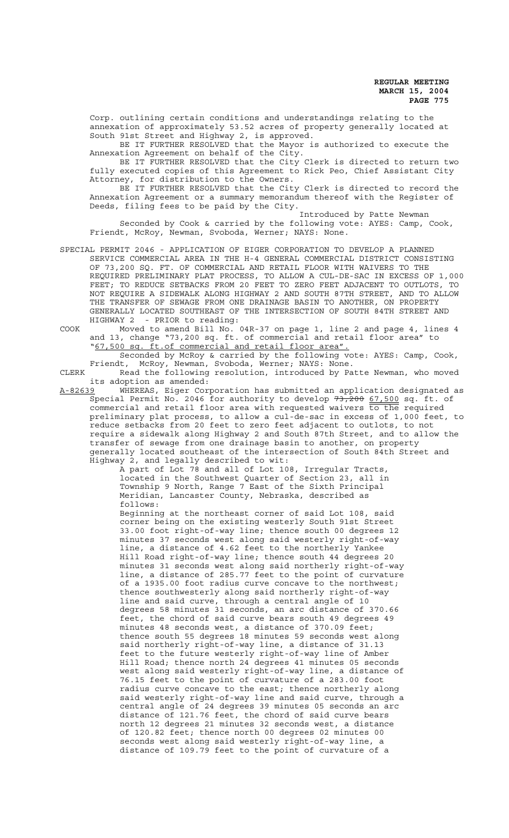Corp. outlining certain conditions and understandings relating to the annexation of approximately 53.52 acres of property generally located at South 91st Street and Highway 2, is approved.

BE IT FURTHER RESOLVED that the Mayor is authorized to execute the Annexation Agreement on behalf of the City.

BE IT FURTHER RESOLVED that the City Clerk is directed to return two fully executed copies of this Agreement to Rick Peo, Chief Assistant City Attorney, for distribution to the Owners.

BE IT FURTHER RESOLVED that the City Clerk is directed to record the Annexation Agreement or a summary memorandum thereof with the Register of Deeds, filing fees to be paid by the City.

Introduced by Patte Newman Seconded by Cook & carried by the following vote: AYES: Camp, Cook, Friendt, McRoy, Newman, Svoboda, Werner; NAYS: None.

- SPECIAL PERMIT 2046 APPLICATION OF EIGER CORPORATION TO DEVELOP A PLANNED SERVICE COMMERCIAL AREA IN THE H-4 GENERAL COMMERCIAL DISTRICT CONSISTING OF 73,200 SQ. FT. OF COMMERCIAL AND RETAIL FLOOR WITH WAIVERS TO THE REQUIRED PRELIMINARY PLAT PROCESS, TO ALLOW A CUL-DE-SAC IN EXCESS OF 1,000 FEET; TO REDUCE SETBACKS FROM 20 FEET TO ZERO FEET ADJACENT TO OUTLOTS, TO NOT REQUIRE A SIDEWALK ALONG HIGHWAY 2 AND SOUTH 87TH STREET, AND TO ALLOW THE TRANSFER OF SEWAGE FROM ONE DRAINAGE BASIN TO ANOTHER, ON PROPERTY GENERALLY LOCATED SOUTHEAST OF THE INTERSECTION OF SOUTH 84TH STREET AND HIGHWAY 2 - PRIOR to reading:
- COOK Moved to amend Bill No. 04R-37 on page 1, line 2 and page 4, lines 4 and 13, change "73,200 sq. ft. of commercial and retail floor area" to "67,500 sq. ft.of commercial and retail floor area".

Seconded by McRoy & carried by the following vote: AYES: Camp, Cook, Friendt, McRoy, Newman, Svoboda, Werner; NAYS: None.

CLERK Read the following resolution, introduced by Patte Newman, who moved its adoption as amended:

A-82639 WHEREAS, Eiger Corporation has submitted an application designated as Special Permit No. 2046 for authority to develop  $73,200$   $67,500$  sq. ft. of commercial and retail floor area with requested waivers  $\overline{\text{to the}}$  required preliminary plat process, to allow a cul-de-sac in excess of 1,000 feet, to reduce setbacks from 20 feet to zero feet adjacent to outlots, to not require a sidewalk along Highway 2 and South 87th Street, and to allow the transfer of sewage from one drainage basin to another, on property generally located southeast of the intersection of South 84th Street and Highway 2, and legally described to wit:

A part of Lot 78 and all of Lot 108, Irregular Tracts, located in the Southwest Quarter of Section 23, all in Township 9 North, Range 7 East of the Sixth Principal Meridian, Lancaster County, Nebraska, described as follows:

Beginning at the northeast corner of said Lot 108, said corner being on the existing westerly South 91st Street 33.00 foot right-of-way line; thence south 00 degrees 12 minutes 37 seconds west along said westerly right-of-way line, a distance of 4.62 feet to the northerly Yankee Hill Road right-of-way line; thence south 44 degrees 20 minutes 31 seconds west along said northerly right-of-way line, a distance of 285.77 feet to the point of curvature of a 1935.00 foot radius curve concave to the northwest; thence southwesterly along said northerly right-of-way line and said curve, through a central angle of 10 degrees 58 minutes 31 seconds, an arc distance of 370.66 feet, the chord of said curve bears south 49 degrees 49 minutes 48 seconds west, a distance of 370.09 feet; thence south 55 degrees 18 minutes 59 seconds west along said northerly right-of-way line, a distance of 31.13 feet to the future westerly right-of-way line of Amber Hill Road; thence north 24 degrees 41 minutes 05 seconds west along said westerly right-of-way line, a distance of 76.15 feet to the point of curvature of a 283.00 foot radius curve concave to the east; thence northerly along said westerly right-of-way line and said curve, through a central angle of 24 degrees 39 minutes 05 seconds an arc distance of 121.76 feet, the chord of said curve bears north 12 degrees 21 minutes 32 seconds west, a distance of 120.82 feet; thence north 00 degrees 02 minutes 00 seconds west along said westerly right-of-way line, a distance of 109.79 feet to the point of curvature of a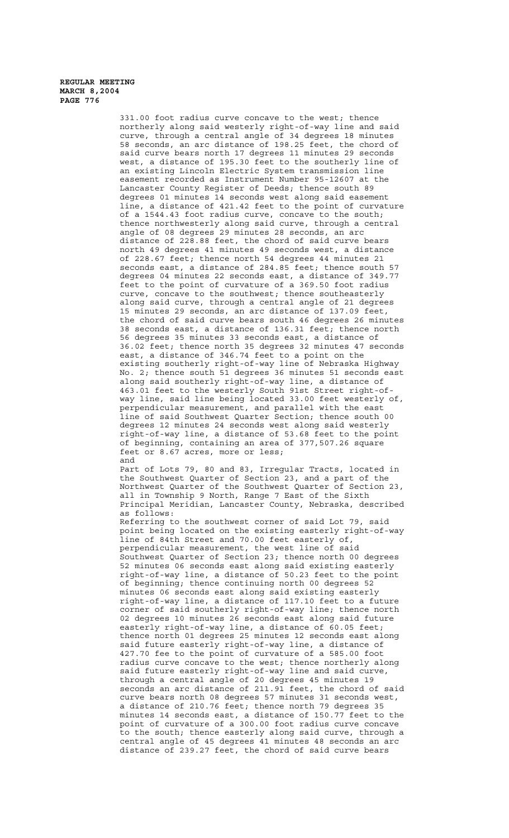331.00 foot radius curve concave to the west; thence northerly along said westerly right-of-way line and said curve, through a central angle of 34 degrees 18 minutes 58 seconds, an arc distance of 198.25 feet, the chord of said curve bears north 17 degrees 11 minutes 29 seconds west, a distance of 195.30 feet to the southerly line of an existing Lincoln Electric System transmission line easement recorded as Instrument Number 95-12607 at the Lancaster County Register of Deeds; thence south 89 degrees 01 minutes 14 seconds west along said easement line, a distance of 421.42 feet to the point of curvature of a 1544.43 foot radius curve, concave to the south; thence northwesterly along said curve, through a central angle of 08 degrees 29 minutes 28 seconds, an arc distance of 228.88 feet, the chord of said curve bears north 49 degrees 41 minutes 49 seconds west, a distance of 228.67 feet; thence north 54 degrees 44 minutes 21 seconds east, a distance of 284.85 feet; thence south 57 degrees 04 minutes 22 seconds east, a distance of 349.77 feet to the point of curvature of a 369.50 foot radius curve, concave to the southwest; thence southeasterly along said curve, through a central angle of 21 degrees 15 minutes 29 seconds, an arc distance of 137.09 feet, the chord of said curve bears south 46 degrees 26 minutes 38 seconds east, a distance of 136.31 feet; thence north 56 degrees 35 minutes 33 seconds east, a distance of 36.02 feet; thence north 35 degrees 32 minutes 47 seconds east, a distance of 346.74 feet to a point on the existing southerly right-of-way line of Nebraska Highway No. 2; thence south 51 degrees 36 minutes 51 seconds east along said southerly right-of-way line, a distance of 463.01 feet to the westerly South 91st Street right-ofway line, said line being located 33.00 feet westerly of, perpendicular measurement, and parallel with the east line of said Southwest Quarter Section; thence south 00 degrees 12 minutes 24 seconds west along said westerly right-of-way line, a distance of 53.68 feet to the point of beginning, containing an area of 377,507.26 square feet or 8.67 acres, more or less; and Part of Lots 79, 80 and 83, Irregular Tracts, located in the Southwest Quarter of Section 23, and a part of the Northwest Quarter of the Southwest Quarter of Section 23, all in Township 9 North, Range 7 East of the Sixth Principal Meridian, Lancaster County, Nebraska, described as follows: Referring to the southwest corner of said Lot 79, said point being located on the existing easterly right-of-way line of 84th Street and 70.00 feet easterly of, perpendicular measurement, the west line of said Southwest Quarter of Section 23; thence north 00 degrees 52 minutes 06 seconds east along said existing easterly right-of-way line, a distance of 50.23 feet to the point of beginning; thence continuing north 00 degrees 52 minutes 06 seconds east along said existing easterly right-of-way line, a distance of 117.10 feet to a future corner of said southerly right-of-way line; thence north 02 degrees 10 minutes 26 seconds east along said future easterly right-of-way line, a distance of 60.05 feet; thence north 01 degrees 25 minutes 12 seconds east along said future easterly right-of-way line, a distance of 427.70 fee to the point of curvature of a 585.00 foot radius curve concave to the west; thence northerly along said future easterly right-of-way line and said curve, through a central angle of 20 degrees 45 minutes 19 seconds an arc distance of 211.91 feet, the chord of said curve bears north 08 degrees 57 minutes 31 seconds west, a distance of 210.76 feet; thence north 79 degrees 35 minutes 14 seconds east, a distance of 150.77 feet to the point of curvature of a 300.00 foot radius curve concave

to the south; thence easterly along said curve, through a central angle of 45 degrees 41 minutes 48 seconds an arc distance of 239.27 feet, the chord of said curve bears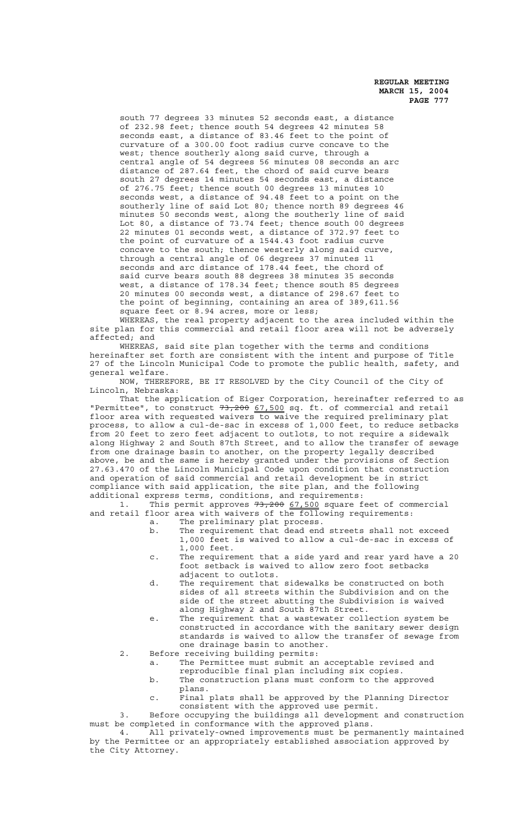south 77 degrees 33 minutes 52 seconds east, a distance of 232.98 feet; thence south 54 degrees 42 minutes 58 seconds east, a distance of 83.46 feet to the point of curvature of a 300.00 foot radius curve concave to the west; thence southerly along said curve, through a central angle of 54 degrees 56 minutes 08 seconds an arc distance of 287.64 feet, the chord of said curve bears south 27 degrees 14 minutes 54 seconds east, a distance of 276.75 feet; thence south 00 degrees 13 minutes 10 seconds west, a distance of 94.48 feet to a point on the southerly line of said Lot 80; thence north 89 degrees 46 minutes 50 seconds west, along the southerly line of said Lot 80, a distance of 73.74 feet; thence south 00 degrees 22 minutes 01 seconds west, a distance of 372.97 feet to the point of curvature of a 1544.43 foot radius curve concave to the south; thence westerly along said curve, through a central angle of 06 degrees 37 minutes 11 seconds and arc distance of 178.44 feet, the chord of said curve bears south 88 degrees 38 minutes 35 seconds west, a distance of 178.34 feet; thence south 85 degrees 20 minutes 00 seconds west, a distance of 298.67 feet to the point of beginning, containing an area of 389,611.56 square feet or 8.94 acres, more or less;

WHEREAS, the real property adjacent to the area included within the site plan for this commercial and retail floor area will not be adversely affected; and

WHEREAS, said site plan together with the terms and conditions hereinafter set forth are consistent with the intent and purpose of Title 27 of the Lincoln Municipal Code to promote the public health, safety, and general welfare.

NOW, THEREFORE, BE IT RESOLVED by the City Council of the City of Lincoln, Nebraska:

That the application of Eiger Corporation, hereinafter referred to as "Permittee", to construct 73,200 67,500 sq. ft. of commercial and retail floor area with requested waivers to waive the required preliminary plat process, to allow a cul-de-sac in excess of 1,000 feet, to reduce setbacks from 20 feet to zero feet adjacent to outlots, to not require a sidewalk along Highway 2 and South 87th Street, and to allow the transfer of sewage from one drainage basin to another, on the property legally described above, be and the same is hereby granted under the provisions of Section 27.63.470 of the Lincoln Municipal Code upon condition that construction and operation of said commercial and retail development be in strict compliance with said application, the site plan, and the following additional express terms, conditions, and requirements:

1. This permit approves 73,200 67,500 square feet of commercial and retail floor area with waivers of the following requirements:

- a. The preliminary plat process.
- b. The requirement that dead end streets shall not exceed 1,000 feet is waived to allow a cul-de-sac in excess of 1,000 feet.
- c. The requirement that a side yard and rear yard have a 20 foot setback is waived to allow zero foot setbacks adjacent to outlots.
- d. The requirement that sidewalks be constructed on both sides of all streets within the Subdivision and on the side of the street abutting the Subdivision is waived along Highway 2 and South 87th Street.
- e. The requirement that a wastewater collection system be constructed in accordance with the sanitary sewer design standards is waived to allow the transfer of sewage from one drainage basin to another.
- 2. Before receiving building permits:

a. The Permittee must submit an acceptable revised and reproducible final plan including six copies.

- b. The construction plans must conform to the approved
	- plans.
- c. Final plats shall be approved by the Planning Director consistent with the approved use permit.

3. Before occupying the buildings all development and construction must be completed in conformance with the approved plans.

4. All privately-owned improvements must be permanently maintained by the Permittee or an appropriately established association approved by the City Attorney.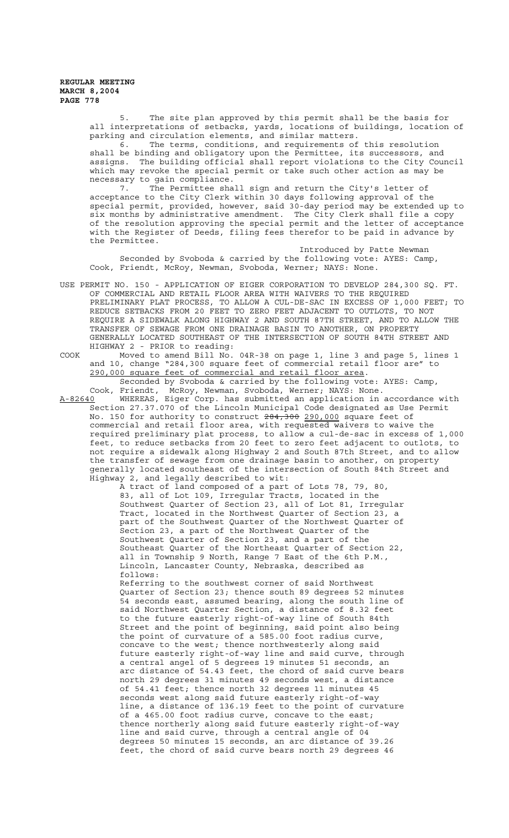> 5. The site plan approved by this permit shall be the basis for all interpretations of setbacks, yards, locations of buildings, location of parking and circulation elements, and similar matters.

> 6. The terms, conditions, and requirements of this resolution shall be binding and obligatory upon the Permittee, its successors, and assigns. The building official shall report violations to the City Council which may revoke the special permit or take such other action as may be necessary to gain compliance.

> 7. The Permittee shall sign and return the City's letter of acceptance to the City Clerk within 30 days following approval of the special permit, provided, however, said 30-day period may be extended up to six months by administrative amendment. The City Clerk shall file a copy of the resolution approving the special permit and the letter of acceptance with the Register of Deeds, filing fees therefor to be paid in advance by the Permittee.

Introduced by Patte Newman Seconded by Svoboda & carried by the following vote: AYES: Camp, Cook, Friendt, McRoy, Newman, Svoboda, Werner; NAYS: None.

- USE PERMIT NO. 150 APPLICATION OF EIGER CORPORATION TO DEVELOP 284,300 SQ. FT. OF COMMERCIAL AND RETAIL FLOOR AREA WITH WAIVERS TO THE REQUIRED PRELIMINARY PLAT PROCESS, TO ALLOW A CUL-DE-SAC IN EXCESS OF 1,000 FEET; TO REDUCE SETBACKS FROM 20 FEET TO ZERO FEET ADJACENT TO OUTLOTS, TO NOT REQUIRE A SIDEWALK ALONG HIGHWAY 2 AND SOUTH 87TH STREET, AND TO ALLOW THE TRANSFER OF SEWAGE FROM ONE DRAINAGE BASIN TO ANOTHER, ON PROPERTY GENERALLY LOCATED SOUTHEAST OF THE INTERSECTION OF SOUTH 84TH STREET AND HIGHWAY 2 - PRIOR to reading:
- COOK Moved to amend Bill No. 04R-38 on page 1, line 3 and page 5, lines 1 and 10, change "284,300 square feet of commercial retail floor are" to 290,000 square feet of commercial and retail floor area. Seconded by Svoboda & carried by the following vote: AYES: Camp,

Cook, Friendt, McRoy, Newman, Svoboda, Werner; NAYS: None.<br>A-82640 WHEREAS, Eiger Corp. has submitted an application in WHEREAS, Eiger Corp. has submitted an application in accordance with Section 27.37.070 of the Lincoln Municipal Code designated as Use Permit No. 150 for authority to construct <del>284,300</del> 2<u>90,000</u> square feet of commercial and retail floor area, with requested waivers to waive the required preliminary plat process, to allow a cul-de-sac in excess of 1,000 feet, to reduce setbacks from 20 feet to zero feet adjacent to outlots, to not require a sidewalk along Highway 2 and South 87th Street, and to allow the transfer of sewage from one drainage basin to another, on property generally located southeast of the intersection of South 84th Street and Highway 2, and legally described to wit:

A tract of land composed of a part of Lots 78, 79, 80, 83, all of Lot 109, Irregular Tracts, located in the Southwest Quarter of Section 23, all of Lot 81, Irregular Tract, located in the Northwest Quarter of Section 23, a part of the Southwest Quarter of the Northwest Quarter of Section 23, a part of the Northwest Quarter of the Southwest Quarter of Section 23, and a part of the Southeast Quarter of the Northeast Quarter of Section 22, all in Township 9 North, Range 7 East of the 6th P.M., Lincoln, Lancaster County, Nebraska, described as follows:

Referring to the southwest corner of said Northwest Quarter of Section 23; thence south 89 degrees 52 minutes 54 seconds east, assumed bearing, along the south line of said Northwest Quarter Section, a distance of 8.32 feet to the future easterly right-of-way line of South 84th Street and the point of beginning, said point also being the point of curvature of a 585.00 foot radius curve, concave to the west; thence northwesterly along said future easterly right-of-way line and said curve, through a central angel of 5 degrees 19 minutes 51 seconds, an arc distance of 54.43 feet, the chord of said curve bears north 29 degrees 31 minutes 49 seconds west, a distance of 54.41 feet; thence north 32 degrees 11 minutes 45 seconds west along said future easterly right-of-way line, a distance of 136.19 feet to the point of curvature of a 465.00 foot radius curve, concave to the east; thence northerly along said future easterly right-of-way line and said curve, through a central angle of 04 degrees 50 minutes 15 seconds, an arc distance of 39.26 feet, the chord of said curve bears north 29 degrees 46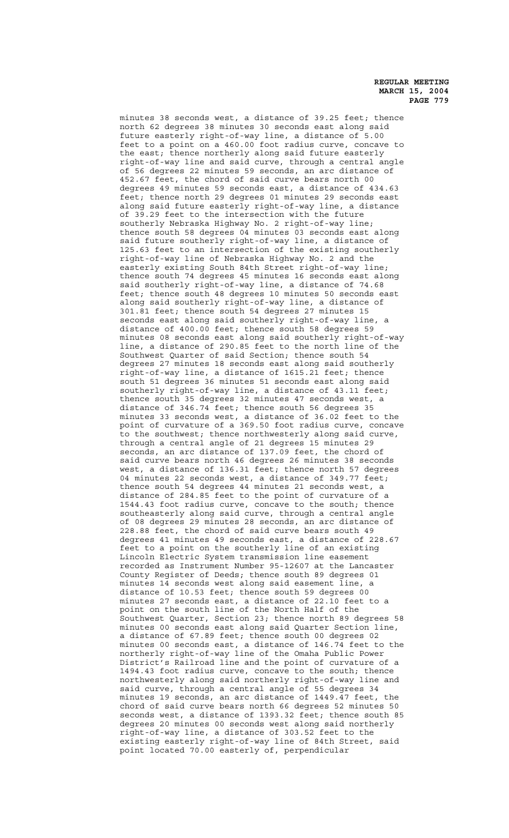minutes 38 seconds west, a distance of 39.25 feet; thence north 62 degrees 38 minutes 30 seconds east along said future easterly right-of-way line, a distance of 5.00 feet to a point on a 460.00 foot radius curve, concave to the east; thence northerly along said future easterly right-of-way line and said curve, through a central angle of 56 degrees 22 minutes 59 seconds, an arc distance of 452.67 feet, the chord of said curve bears north 00 degrees 49 minutes 59 seconds east, a distance of 434.63 feet; thence north 29 degrees 01 minutes 29 seconds east along said future easterly right-of-way line, a distance of 39.29 feet to the intersection with the future southerly Nebraska Highway No. 2 right-of-way line; thence south 58 degrees 04 minutes 03 seconds east along said future southerly right-of-way line, a distance of 125.63 feet to an intersection of the existing southerly right-of-way line of Nebraska Highway No. 2 and the easterly existing South 84th Street right-of-way line; thence south 74 degrees 45 minutes 16 seconds east along said southerly right-of-way line, a distance of 74.68 feet; thence south 48 degrees 10 minutes 50 seconds east along said southerly right-of-way line, a distance of 301.81 feet; thence south 54 degrees 27 minutes 15 seconds east along said southerly right-of-way line, a distance of 400.00 feet; thence south 58 degrees 59 minutes 08 seconds east along said southerly right-of-way line, a distance of 290.85 feet to the north line of the Southwest Quarter of said Section; thence south 54 degrees 27 minutes 18 seconds east along said southerly right-of-way line, a distance of 1615.21 feet; thence south 51 degrees 36 minutes 51 seconds east along said southerly right-of-way line, a distance of 43.11 feet; thence south 35 degrees 32 minutes 47 seconds west, a distance of 346.74 feet; thence south 56 degrees 35 minutes 33 seconds west, a distance of 36.02 feet to the point of curvature of a 369.50 foot radius curve, concave to the southwest; thence northwesterly along said curve, through a central angle of 21 degrees 15 minutes 29 seconds, an arc distance of 137.09 feet, the chord of said curve bears north 46 degrees 26 minutes 38 seconds west, a distance of 136.31 feet; thence north 57 degrees 04 minutes 22 seconds west, a distance of 349.77 feet; thence south 54 degrees 44 minutes 21 seconds west, a distance of 284.85 feet to the point of curvature of a 1544.43 foot radius curve, concave to the south; thence southeasterly along said curve, through a central angle of 08 degrees 29 minutes 28 seconds, an arc distance of 228.88 feet, the chord of said curve bears south 49 degrees 41 minutes 49 seconds east, a distance of 228.67 feet to a point on the southerly line of an existing Lincoln Electric System transmission line easement recorded as Instrument Number 95-12607 at the Lancaster County Register of Deeds; thence south 89 degrees 01 minutes 14 seconds west along said easement line, a distance of 10.53 feet; thence south 59 degrees 00 minutes 27 seconds east, a distance of 22.10 feet to a point on the south line of the North Half of the Southwest Quarter, Section 23; thence north 89 degrees 58 minutes 00 seconds east along said Quarter Section line, a distance of 67.89 feet; thence south 00 degrees 02 minutes 00 seconds east, a distance of 146.74 feet to the northerly right-of-way line of the Omaha Public Power District's Railroad line and the point of curvature of a 1494.43 foot radius curve, concave to the south; thence northwesterly along said northerly right-of-way line and said curve, through a central angle of 55 degrees 34 minutes 19 seconds, an arc distance of 1449.47 feet, the chord of said curve bears north 66 degrees 52 minutes 50 seconds west, a distance of 1393.32 feet; thence south 85 degrees 20 minutes 00 seconds west along said northerly right-of-way line, a distance of 303.52 feet to the existing easterly right-of-way line of 84th Street, said point located 70.00 easterly of, perpendicular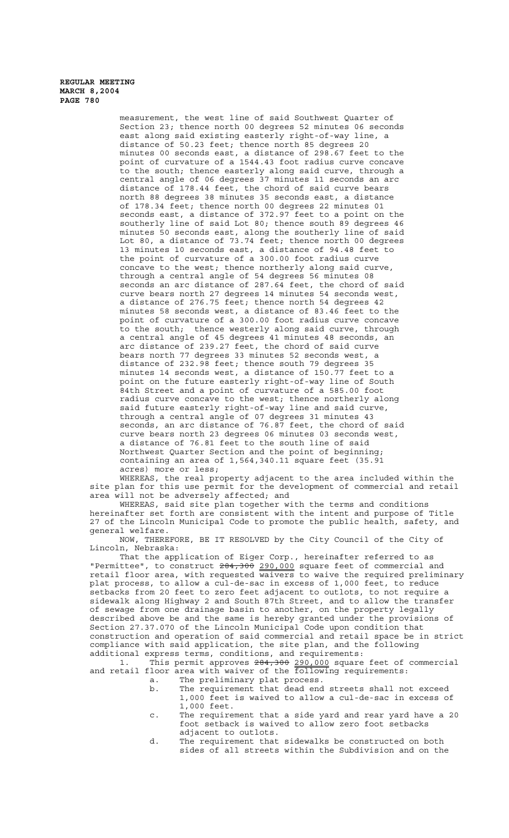measurement, the west line of said Southwest Quarter of Section 23; thence north 00 degrees 52 minutes 06 seconds east along said existing easterly right-of-way line, a distance of 50.23 feet; thence north 85 degrees 20 minutes 00 seconds east, a distance of 298.67 feet to the point of curvature of a 1544.43 foot radius curve concave to the south; thence easterly along said curve, through a central angle of 06 degrees 37 minutes 11 seconds an arc distance of 178.44 feet, the chord of said curve bears north 88 degrees 38 minutes 35 seconds east, a distance of 178.34 feet; thence north 00 degrees 22 minutes 01 seconds east, a distance of 372.97 feet to a point on the southerly line of said Lot 80; thence south 89 degrees 46 minutes 50 seconds east, along the southerly line of said Lot 80, a distance of 73.74 feet; thence north 00 degrees 13 minutes 10 seconds east, a distance of 94.48 feet to the point of curvature of a 300.00 foot radius curve concave to the west; thence northerly along said curve, through a central angle of 54 degrees 56 minutes 08 seconds an arc distance of 287.64 feet, the chord of said curve bears north 27 degrees 14 minutes 54 seconds west, a distance of 276.75 feet; thence north 54 degrees 42 minutes 58 seconds west, a distance of 83.46 feet to the point of curvature of a 300.00 foot radius curve concave to the south; thence westerly along said curve, through a central angle of 45 degrees 41 minutes 48 seconds, an arc distance of 239.27 feet, the chord of said curve bears north 77 degrees 33 minutes 52 seconds west, a distance of 232.98 feet; thence south 79 degrees 35 minutes 14 seconds west, a distance of 150.77 feet to a point on the future easterly right-of-way line of South 84th Street and a point of curvature of a 585.00 foot radius curve concave to the west; thence northerly along said future easterly right-of-way line and said curve, through a central angle of 07 degrees 31 minutes 43 seconds, an arc distance of 76.87 feet, the chord of said curve bears north 23 degrees 06 minutes 03 seconds west, a distance of 76.81 feet to the south line of said Northwest Quarter Section and the point of beginning; containing an area of 1,564,340.11 square feet (35.91 acres) more or less;

WHEREAS, the real property adjacent to the area included within the site plan for this use permit for the development of commercial and retail area will not be adversely affected; and

WHEREAS, said site plan together with the terms and conditions hereinafter set forth are consistent with the intent and purpose of Title 27 of the Lincoln Municipal Code to promote the public health, safety, and general welfare.

NOW, THEREFORE, BE IT RESOLVED by the City Council of the City of Lincoln, Nebraska:

That the application of Eiger Corp., hereinafter referred to as "Permittee", to construct  $284,300$  290,000 square feet of commercial and retail floor area, with requested waivers to waive the required preliminary plat process, to allow a cul-de-sac in excess of 1,000 feet, to reduce setbacks from 20 feet to zero feet adjacent to outlots, to not require a sidewalk along Highway 2 and South 87th Street, and to allow the transfer of sewage from one drainage basin to another, on the property legally described above be and the same is hereby granted under the provisions of Section 27.37.070 of the Lincoln Municipal Code upon condition that construction and operation of said commercial and retail space be in strict compliance with said application, the site plan, and the following additional express terms, conditions, and requirements:

1. This permit approves  $284,300$  290,000 square feet of commercial and retail floor area with waiver of the following requirements:

- a. The preliminary plat process.
- b. The requirement that dead end streets shall not exceed 1,000 feet is waived to allow a cul-de-sac in excess of 1,000 feet.
- c. The requirement that a side yard and rear yard have a 20 foot setback is waived to allow zero foot setbacks adjacent to outlots.
- d. The requirement that sidewalks be constructed on both sides of all streets within the Subdivision and on the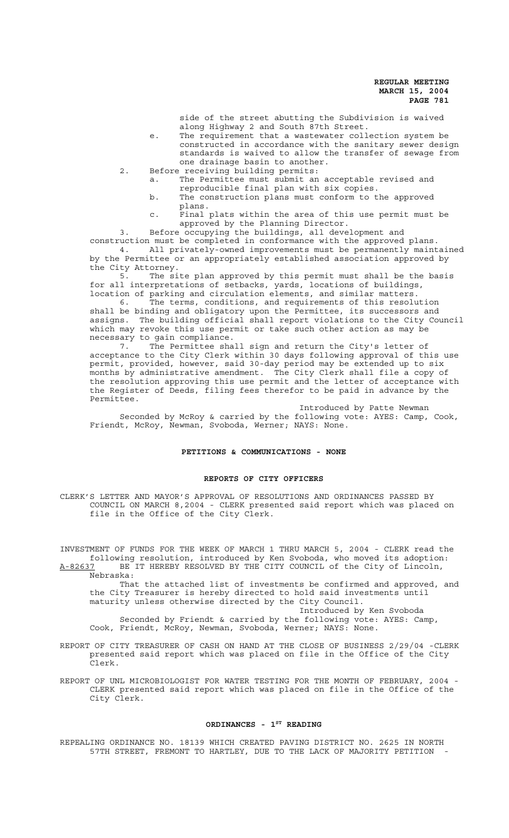side of the street abutting the Subdivision is waived along Highway 2 and South 87th Street.

- e. The requirement that a wastewater collection system be constructed in accordance with the sanitary sewer design standards is waived to allow the transfer of sewage from one drainage basin to another.
- 2. Before receiving building permits:
	- a. The Permittee must submit an acceptable revised and reproducible final plan with six copies.
	- b. The construction plans must conform to the approved plans.
	- c. Final plats within the area of this use permit must be approved by the Planning Director.

3. Before occupying the buildings, all development and construction must be completed in conformance with the approved plans. 4. All privately-owned improvements must be permanently maintained by the Permittee or an appropriately established association approved by

the City Attorney.<br>5. The si The site plan approved by this permit must shall be the basis for all interpretations of setbacks, yards, locations of buildings, location of parking and circulation elements, and similar matters.

6. The terms, conditions, and requirements of this resolution shall be binding and obligatory upon the Permittee, its successors and assigns. The building official shall report violations to the City Council which may revoke this use permit or take such other action as may be necessary to gain compliance.<br>7. The Permittee sha

The Permittee shall sign and return the City's letter of acceptance to the City Clerk within 30 days following approval of this use permit, provided, however, said 30-day period may be extended up to six months by administrative amendment. The City Clerk shall file a copy of the resolution approving this use permit and the letter of acceptance with the Register of Deeds, filing fees therefor to be paid in advance by the Permittee.

Introduced by Patte Newman Seconded by McRoy & carried by the following vote: AYES: Camp, Cook, Friendt, McRoy, Newman, Svoboda, Werner; NAYS: None.

#### **PETITIONS & COMMUNICATIONS - NONE**

# **REPORTS OF CITY OFFICERS**

CLERK'S LETTER AND MAYOR'S APPROVAL OF RESOLUTIONS AND ORDINANCES PASSED BY COUNCIL ON MARCH 8,2004 - CLERK presented said report which was placed on file in the Office of the City Clerk.

INVESTMENT OF FUNDS FOR THE WEEK OF MARCH 1 THRU MARCH 5, 2004 - CLERK read the following resolution, introduced by Ken Svoboda, who moved its adoption: A-82637 BE IT HEREBY RESOLVED BY THE CITY COUNCIL of the City of Lincoln,

Nebraska: That the attached list of investments be confirmed and approved, and the City Treasurer is hereby directed to hold said investments until maturity unless otherwise directed by the City Council. Introduced by Ken Svoboda

Seconded by Friendt & carried by the following vote: AYES: Camp, Cook, Friendt, McRoy, Newman, Svoboda, Werner; NAYS: None.

- REPORT OF CITY TREASURER OF CASH ON HAND AT THE CLOSE OF BUSINESS 2/29/04 -CLERK presented said report which was placed on file in the Office of the City Clerk.
- REPORT OF UNL MICROBIOLOGIST FOR WATER TESTING FOR THE MONTH OF FEBRUARY, 2004 CLERK presented said report which was placed on file in the Office of the City Clerk.

# ORDINANCES - 1<sup>ST</sup> READING

REPEALING ORDINANCE NO. 18139 WHICH CREATED PAVING DISTRICT NO. 2625 IN NORTH 57TH STREET, FREMONT TO HARTLEY, DUE TO THE LACK OF MAJORITY PETITION -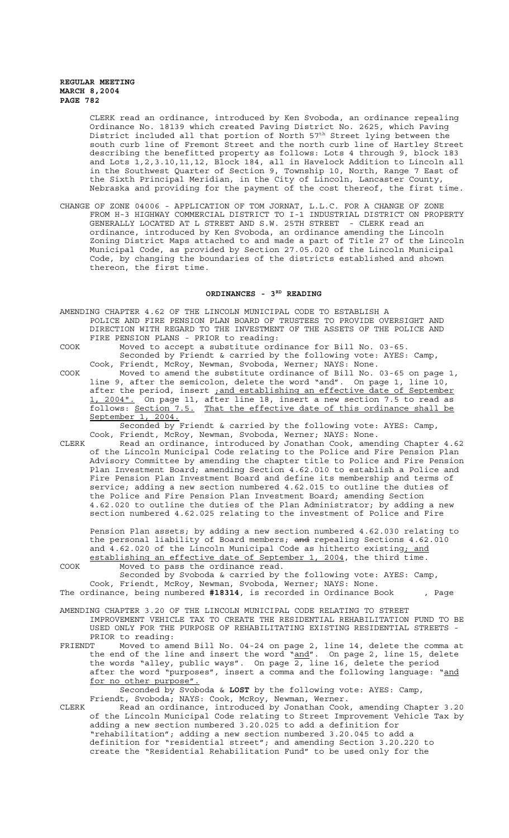CLERK read an ordinance, introduced by Ken Svoboda, an ordinance repealing Ordinance No. 18139 which created Paving District No. 2625, which Paving District included all that portion of North 57<sup>th</sup> Street lying between the south curb line of Fremont Street and the north curb line of Hartley Street describing the benefitted property as follows: Lots 4 through 9, block 183 and Lots 1,2,3.10,11,12, Block 184, all in Havelock Addition to Lincoln all in the Southwest Quarter of Section 9, Township 10, North, Range 7 East of the Sixth Principal Meridian, in the City of Lincoln, Lancaster County, Nebraska and providing for the payment of the cost thereof, the first time.

CHANGE OF ZONE 04006 - APPLICATION OF TOM JORNAT, L.L.C. FOR A CHANGE OF ZONE FROM H-3 HIGHWAY COMMERCIAL DISTRICT TO I-1 INDUSTRIAL DISTRICT ON PROPERTY GENERALLY LOCATED AT L STREET AND S.W. 25TH STREET - CLERK read an ordinance, introduced by Ken Svoboda, an ordinance amending the Lincoln Zoning District Maps attached to and made a part of Title 27 of the Lincoln Municipal Code, as provided by Section 27.05.020 of the Lincoln Municipal Code, by changing the boundaries of the districts established and shown thereon, the first time.

#### ORDINANCES - 3<sup>RD</sup> READING

AMENDING CHAPTER 4.62 OF THE LINCOLN MUNICIPAL CODE TO ESTABLISH A POLICE AND FIRE PENSION PLAN BOARD OF TRUSTEES TO PROVIDE OVERSIGHT AND DIRECTION WITH REGARD TO THE INVESTMENT OF THE ASSETS OF THE POLICE AND FIRE PENSION PLANS - PRIOR to reading:

COOK Moved to accept a substitute ordinance for Bill No. 03-65. Seconded by Friendt & carried by the following vote: AYES: Camp, Cook, Friendt, McRoy, Newman, Svoboda, Werner; NAYS: None.

COOK Moved to amend the substitute ordinance of Bill No. 03-65 on page 1, line 9, after the semicolon, delete the word "and". On page 1, line 10, after the period, insert *jand establishing an effective date of September* 1, 2004". On page 11, after line 18, insert a new section 7.5 to read as follows: Section 7.5. That the effective date of this ordinance shall be September 1, 2004.

Seconded by Friendt & carried by the following vote: AYES: Camp, Cook, Friendt, McRoy, Newman, Svoboda, Werner; NAYS: None.

CLERK Read an ordinance, introduced by Jonathan Cook, amending Chapter 4.62 of the Lincoln Municipal Code relating to the Police and Fire Pension Plan Advisory Committee by amending the chapter title to Police and Fire Pension Plan Investment Board; amending Section 4.62.010 to establish a Police and Fire Pension Plan Investment Board and define its membership and terms of service; adding a new section numbered 4.62.015 to outline the duties of the Police and Fire Pension Plan Investment Board; amending Section 4.62.020 to outline the duties of the Plan Administrator; by adding a new section numbered 4.62.025 relating to the investment of Police and Fire

Pension Plan assets; by adding a new section numbered 4.62.030 relating to the personal liability of Board members; and repealing Sections 4.62.010 and 4.62.020 of the Lincoln Municipal Code as hitherto existing; and establishing an effective date of September 1, 2004, the third time. COOK Moved to pass the ordinance read.

Seconded by Svoboda & carried by the following vote: AYES: Camp, Cook, Friendt, McRoy, Newman, Svoboda, Werner; NAYS: None. The ordinance, being numbered **#18314**, is recorded in Ordinance Book , Page

AMENDING CHAPTER 3.20 OF THE LINCOLN MUNICIPAL CODE RELATING TO STREET IMPROVEMENT VEHICLE TAX TO CREATE THE RESIDENTIAL REHABILITATION FUND TO BE USED ONLY FOR THE PURPOSE OF REHABILITATING EXISTING RESIDENTIAL STREETS - PRIOR to reading:

FRIENDT Moved to amend Bill No. 04-24 on page 2, line 14, delete the comma at the end of the line and insert the word "and". On page 2, line 15, delete the words "alley, public ways". On page 2, line 16, delete the period after the word "purposes", insert a comma and the following language: "and for no other purpose".

Seconded by Svoboda & **LOST** by the following vote: AYES: Camp, Friendt, Svoboda; NAYS: Cook, McRoy, Newman, Werner.

CLERK Read an ordinance, introduced by Jonathan Cook, amending Chapter 3.20 of the Lincoln Municipal Code relating to Street Improvement Vehicle Tax by adding a new section numbered 3.20.025 to add a definition for "rehabilitation"; adding a new section numbered 3.20.045 to add a definition for "residential street"; and amending Section 3.20.220 to create the "Residential Rehabilitation Fund" to be used only for the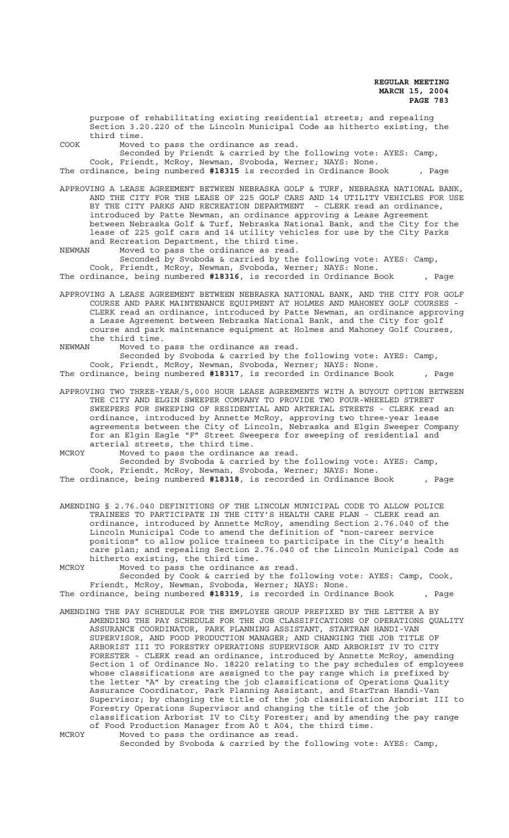purpose of rehabilitating existing residential streets; and repealing Section 3.20.220 of the Lincoln Municipal Code as hitherto existing, the third time.

COOK Moved to pass the ordinance as read.

Seconded by Friendt & carried by the following vote: AYES: Camp, Cook, Friendt, McRoy, Newman, Svoboda, Werner; NAYS: None. The ordinance, being numbered **#18315** is recorded in Ordinance Book , Page

APPROVING A LEASE AGREEMENT BETWEEN NEBRASKA GOLF & TURF, NEBRASKA NATIONAL BANK, AND THE CITY FOR THE LEASE OF 225 GOLF CARS AND 14 UTILITY VEHICLES FOR USE BY THE CITY PARKS AND RECREATION DEPARTMENT - CLERK read an ordinance, introduced by Patte Newman, an ordinance approving a Lease Agreement between Nebraska Golf & Turf, Nebraska National Bank, and the City for the lease of 225 golf cars and 14 utility vehicles for use by the City Parks and Recreation Department, the third time.

NEWMAN Moved to pass the ordinance as read. Seconded by Svoboda & carried by the following vote: AYES: Camp, Cook, Friendt, McRoy, Newman, Svoboda, Werner; NAYS: None. The ordinance, being numbered **#18316**, is recorded in Ordinance Book , Page

APPROVING A LEASE AGREEMENT BETWEEN NEBRASKA NATIONAL BANK, AND THE CITY FOR GOLF COURSE AND PARK MAINTENANCE EQUIPMENT AT HOLMES AND MAHONEY GOLF COURSES - CLERK read an ordinance, introduced by Patte Newman, an ordinance approving a Lease Agreement between Nebraska National Bank, and the City for golf course and park maintenance equipment at Holmes and Mahoney Golf Courses, the third time.

NEWMAN Moved to pass the ordinance as read.

 Seconded by Svoboda & carried by the following vote: AYES: Camp, Cook, Friendt, McRoy, Newman, Svoboda, Werner; NAYS: None. The ordinance, being numbered **#18317**, is recorded in Ordinance Book , Page

APPROVING TWO THREE-YEAR/5,000 HOUR LEASE AGREEMENTS WITH A BUYOUT OPTION BETWEEN THE CITY AND ELGIN SWEEPER COMPANY TO PROVIDE TWO FOUR-WHEELED STREET SWEEPERS FOR SWEEPING OF RESIDENTIAL AND ARTERIAL STREETS - CLERK read an ordinance, introduced by Annette McRoy, approving two three-year lease agreements between the City of Lincoln, Nebraska and Elgin Sweeper Company for an Elgin Eagle "F" Street Sweepers for sweeping of residential and arterial streets, the third time.

MCROY Moved to pass the ordinance as read.

Seconded by Svoboda & carried by the following vote: AYES: Camp, Cook, Friendt, McRoy, Newman, Svoboda, Werner; NAYS: None. The ordinance, being numbered **#18318**, is recorded in Ordinance Book , Page

AMENDING § 2.76.040 DEFINITIONS OF THE LINCOLN MUNICIPAL CODE TO ALLOW POLICE TRAINEES TO PARTICIPATE IN THE CITY'S HEALTH CARE PLAN - CLERK read an ordinance, introduced by Annette McRoy, amending Section 2.76.040 of the Lincoln Municipal Code to amend the definition of "non-career service positions" to allow police trainees to participate in the City's health care plan; and repealing Section 2.76.040 of the Lincoln Municipal Code as hitherto existing, the third time.

MCROY Moved to pass the ordinance as read.

Seconded by Cook & carried by the following vote: AYES: Camp, Cook, Friendt, McRoy, Newman, Svoboda, Werner; NAYS: None.

The ordinance, being numbered **#18319**, is recorded in Ordinance Book , Page

AMENDING THE PAY SCHEDULE FOR THE EMPLOYEE GROUP PREFIXED BY THE LETTER A BY AMENDING THE PAY SCHEDULE FOR THE JOB CLASSIFICATIONS OF OPERATIONS QUALITY ASSURANCE COORDINATOR, PARK PLANNING ASSISTANT, STARTRAN HANDI-VAN SUPERVISOR, AND FOOD PRODUCTION MANAGER; AND CHANGING THE JOB TITLE OF ARBORIST III TO FORESTRY OPERATIONS SUPERVISOR AND ARBORIST IV TO CITY FORESTER - CLERK read an ordinance, introduced by Annette McRoy, amending Section 1 of Ordinance No. 18220 relating to the pay schedules of employees whose classifications are assigned to the pay range which is prefixed by the letter "A" by creating the job classifications of Operations Quality Assurance Coordinator, Park Planning Assistant, and StarTran Handi-Van Supervisor; by changing the title of the job classification Arborist III to Forestry Operations Supervisor and changing the title of the job classification Arborist IV to City Forester; and by amending the pay range of Food Production Manager from A0 t A04, the third time.

MCROY Moved to pass the ordinance as read. Seconded by Svoboda & carried by the following vote: AYES: Camp,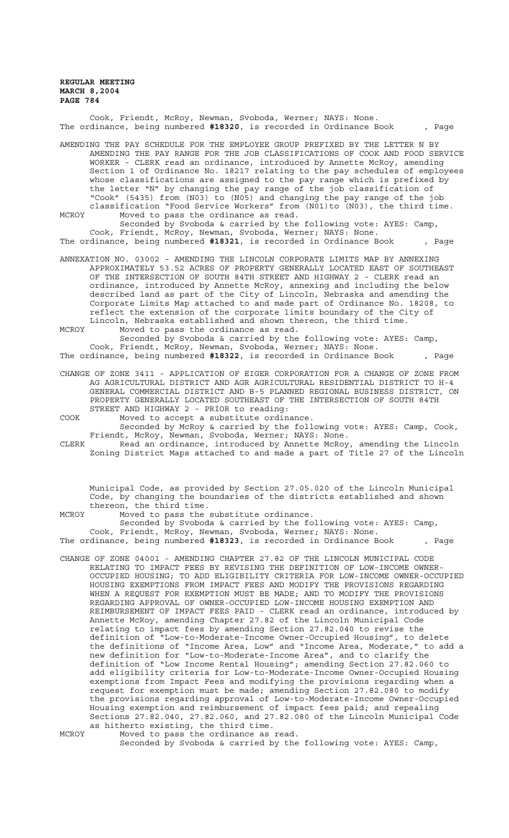Cook, Friendt, McRoy, Newman, Svoboda, Werner; NAYS: None. The ordinance, being numbered **#18320**, is recorded in Ordinance Book , Page

AMENDING THE PAY SCHEDULE FOR THE EMPLOYEE GROUP PREFIXED BY THE LETTER N BY AMENDING THE PAY RANGE FOR THE JOB CLASSIFICATIONS OF COOK AND FOOD SERVICE WORKER - CLERK read an ordinance, introduced by Annette McRoy, amending Section 1 of Ordinance No. 18217 relating to the pay schedules of employees whose classifications are assigned to the pay range which is prefixed by the letter "N" by changing the pay range of the job classification of "Cook" (5435) from (N03) to (N05) and changing the pay range of the job classification "Food Service Workers" from (N01)to (N03), the third time. MCROY Moved to pass the ordinance as read.

Seconded by Svoboda & carried by the following vote: AYES: Camp, Cook, Friendt, McRoy, Newman, Svoboda, Werner; NAYS: None.

The ordinance, being numbered **#18321**, is recorded in Ordinance Book , Page

ANNEXATION NO. 03002 - AMENDING THE LINCOLN CORPORATE LIMITS MAP BY ANNEXING APPROXIMATELY 53.52 ACRES OF PROPERTY GENERALLY LOCATED EAST OF SOUTHEAST OF THE INTERSECTION OF SOUTH 84TH STREET AND HIGHWAY 2 - CLERK read an ordinance, introduced by Annette McRoy, annexing and including the below described land as part of the City of Lincoln, Nebraska and amending the Corporate Limits Map attached to and made part of Ordinance No. 18208, to reflect the extension of the corporate limits boundary of the City of Lincoln, Nebraska established and shown thereon, the third time.

MCROY Moved to pass the ordinance as read.

Seconded by Svoboda & carried by the following vote: AYES: Camp, Cook, Friendt, McRoy, Newman, Svoboda, Werner; NAYS: None. The ordinance, being numbered **#18322**, is recorded in Ordinance Book , Page

CHANGE OF ZONE 3411 - APPLICATION OF EIGER CORPORATION FOR A CHANGE OF ZONE FROM AG AGRICULTURAL DISTRICT AND AGR AGRICULTURAL RESIDENTIAL DISTRICT TO H-4 GENERAL COMMERCIAL DISTRICT AND B-5 PLANNED REGIONAL BUSINESS DISTRICT, ON PROPERTY GENERALLY LOCATED SOUTHEAST OF THE INTERSECTION OF SOUTH 84TH STREET AND HIGHWAY 2 - PRIOR to reading:

COOK Moved to accept a substitute ordinance.

Seconded by McRoy & carried by the following vote: AYES: Camp, Cook, Friendt, McRoy, Newman, Svoboda, Werner; NAYS: None.

CLERK Read an ordinance, introduced by Annette McRoy, amending the Lincoln Zoning District Maps attached to and made a part of Title 27 of the Lincoln

Municipal Code, as provided by Section 27.05.020 of the Lincoln Municipal Code, by changing the boundaries of the districts established and shown thereon, the third time.

MCROY Moved to pass the substitute ordinance.

Seconded by Svoboda & carried by the following vote: AYES: Camp, Cook, Friendt, McRoy, Newman, Svoboda, Werner; NAYS: None. The ordinance, being numbered **#18323**, is recorded in Ordinance Book , Page

CHANGE OF ZONE 04001 - AMENDING CHAPTER 27.82 OF THE LINCOLN MUNICIPAL CODE RELATING TO IMPACT FEES BY REVISING THE DEFINITION OF LOW-INCOME OWNER-OCCUPIED HOUSING; TO ADD ELIGIBILITY CRITERIA FOR LOW-INCOME OWNER-OCCUPIED HOUSING EXEMPTIONS FROM IMPACT FEES AND MODIFY THE PROVISIONS REGARDING WHEN A REQUEST FOR EXEMPTION MUST BE MADE; AND TO MODIFY THE PROVISIONS REGARDING APPROVAL OF OWNER-OCCUPIED LOW-INCOME HOUSING EXEMPTION AND REIMBURSEMENT OF IMPACT FEES PAID - CLERK read an ordinance, introduced by Annette McRoy, amending Chapter 27.82 of the Lincoln Municipal Code relating to impact fees by amending Section 27.82.040 to revise the definition of "Low-to-Moderate-Income Owner-Occupied Housing", to delete the definitions of "Income Area, Low" and "Income Area, Moderate," to add a new definition for "Low-to-Moderate-Income Area", and to clarify the definition of "Low Income Rental Housing"; amending Section 27.82.060 to add eligibility criteria for Low-to-Moderate-Income Owner-Occupied Housing exemptions from Impact Fees and modifying the provisions regarding when a request for exemption must be made; amending Section 27.82.080 to modify the provisions regarding approval of Low-to-Moderate-Income Owner-Occupied Housing exemption and reimbursement of impact fees paid; and repealing Sections 27.82.040, 27.82.060, and 27.82.080 of the Lincoln Municipal Code as hitherto existing, the third time. MCROY Moved to pass the ordinance as read.

Seconded by Svoboda & carried by the following vote: AYES: Camp,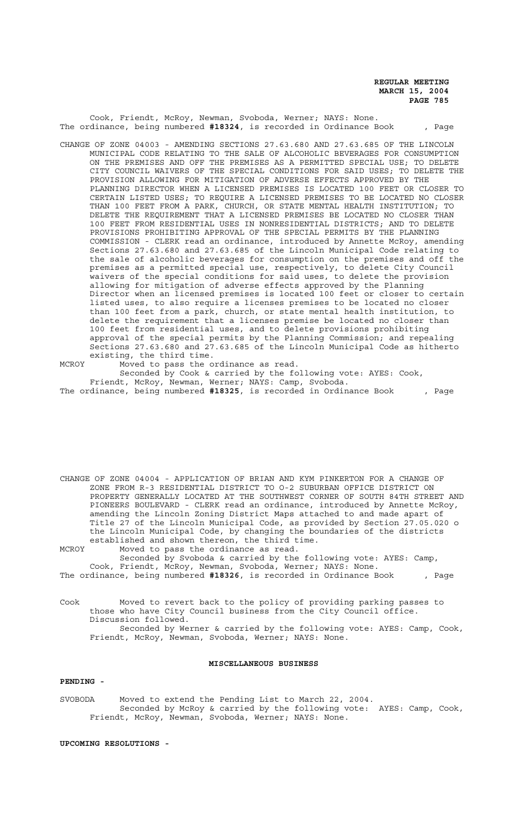Cook, Friendt, McRoy, Newman, Svoboda, Werner; NAYS: None. The ordinance, being numbered **#18324**, is recorded in Ordinance Book , Page

- CHANGE OF ZONE 04003 AMENDING SECTIONS 27.63.680 AND 27.63.685 OF THE LINCOLN MUNICIPAL CODE RELATING TO THE SALE OF ALCOHOLIC BEVERAGES FOR CONSUMPTION ON THE PREMISES AND OFF THE PREMISES AS A PERMITTED SPECIAL USE; TO DELETE CITY COUNCIL WAIVERS OF THE SPECIAL CONDITIONS FOR SAID USES; TO DELETE THE PROVISION ALLOWING FOR MITIGATION OF ADVERSE EFFECTS APPROVED BY THE PLANNING DIRECTOR WHEN A LICENSED PREMISES IS LOCATED 100 FEET OR CLOSER TO CERTAIN LISTED USES; TO REQUIRE A LICENSED PREMISES TO BE LOCATED NO CLOSER THAN 100 FEET FROM A PARK, CHURCH, OR STATE MENTAL HEALTH INSTITUTION; TO DELETE THE REQUIREMENT THAT A LICENSED PREMISES BE LOCATED NO CLOSER THAN 100 FEET FROM RESIDENTIAL USES IN NONRESIDENTIAL DISTRICTS; AND TO DELETE PROVISIONS PROHIBITING APPROVAL OF THE SPECIAL PERMITS BY THE PLANNING COMMISSION - CLERK read an ordinance, introduced by Annette McRoy, amending Sections 27.63.680 and 27.63.685 of the Lincoln Municipal Code relating to the sale of alcoholic beverages for consumption on the premises and off the premises as a permitted special use, respectively, to delete City Council waivers of the special conditions for said uses, to delete the provision allowing for mitigation of adverse effects approved by the Planning Director when an licensed premises is located 100 feet or closer to certain listed uses, to also require a licenses premises to be located no closer than 100 feet from a park, church, or state mental health institution, to delete the requirement that a licenses premise be located no closer than 100 feet from residential uses, and to delete provisions prohibiting approval of the special permits by the Planning Commission; and repealing Sections 27.63.680 and 27.63.685 of the Lincoln Municipal Code as hitherto existing, the third time.
- MCROY Moved to pass the ordinance as read.

Seconded by Cook & carried by the following vote: AYES: Cook, Friendt, McRoy, Newman, Werner; NAYS: Camp, Svoboda.

ZONE FROM R-3 RESIDENTIAL DISTRICT TO O-2 SUBURBAN OFFICE DISTRICT ON PROPERTY GENERALLY LOCATED AT THE SOUTHWEST CORNER OF SOUTH 84TH STREET AND PIONEERS BOULEVARD - CLERK read an ordinance, introduced by Annette McRoy, amending the Lincoln Zoning District Maps attached to and made apart of Title 27 of the Lincoln Municipal Code, as provided by Section 27.05.020 o the Lincoln Municipal Code, by changing the boundaries of the districts established and shown thereon, the third time. MCROY Moved to pass the ordinance as read. Seconded by Svoboda & carried by the following vote: AYES: Camp, Cook, Friendt, McRoy, Newman, Svoboda, Werner; NAYS: None.

CHANGE OF ZONE 04004 - APPLICATION OF BRIAN AND KYM PINKERTON FOR A CHANGE OF

The ordinance, being numbered **#18326**, is recorded in Ordinance Book , Page

Cook Moved to revert back to the policy of providing parking passes to those who have City Council business from the City Council office. Discussion followed. Seconded by Werner & carried by the following vote: AYES: Camp, Cook, Friendt, McRoy, Newman, Svoboda, Werner; NAYS: None.

#### **MISCELLANEOUS BUSINESS**

## **PENDING -**

SVOBODA Moved to extend the Pending List to March 22, 2004. Seconded by McRoy & carried by the following vote: AYES: Camp, Cook, Friendt, McRoy, Newman, Svoboda, Werner; NAYS: None.

#### **UPCOMING RESOLUTIONS -**

The ordinance, being numbered **#18325**, is recorded in Ordinance Book , Page